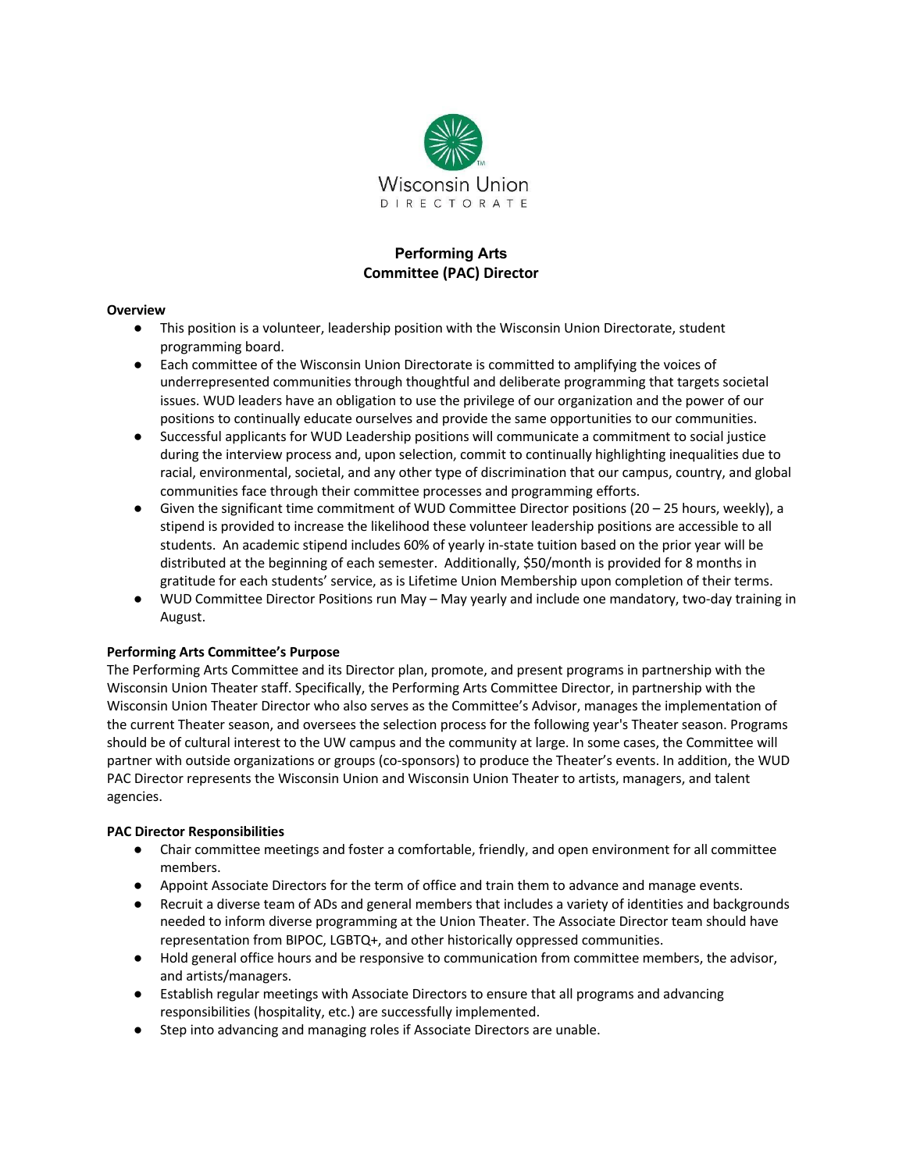

# **Performing Arts Committee (PAC) Director**

### **Overview**

- This position is a volunteer, leadership position with the Wisconsin Union Directorate, student programming board.
- Each committee of the Wisconsin Union Directorate is committed to amplifying the voices of underrepresented communities through thoughtful and deliberate programming that targets societal issues. WUD leaders have an obligation to use the privilege of our organization and the power of our positions to continually educate ourselves and provide the same opportunities to our communities.
- Successful applicants for WUD Leadership positions will communicate a commitment to social justice during the interview process and, upon selection, commit to continually highlighting inequalities due to racial, environmental, societal, and any other type of discrimination that our campus, country, and global communities face through their committee processes and programming efforts.
- $\bullet$  Given the significant time commitment of WUD Committee Director positions (20 25 hours, weekly), a stipend is provided to increase the likelihood these volunteer leadership positions are accessible to all students. An academic stipend includes 60% of yearly in-state tuition based on the prior year will be distributed at the beginning of each semester. Additionally, \$50/month is provided for 8 months in gratitude for each students' service, as is Lifetime Union Membership upon completion of their terms.
- WUD Committee Director Positions run May May yearly and include one mandatory, two-day training in August.

#### **Performing Arts Committee's Purpose**

The Performing Arts Committee and its Director plan, promote, and present programs in partnership with the Wisconsin Union Theater staff. Specifically, the Performing Arts Committee Director, in partnership with the Wisconsin Union Theater Director who also serves as the Committee's Advisor, manages the implementation of the current Theater season, and oversees the selection process for the following year's Theater season. Programs should be of cultural interest to the UW campus and the community at large. In some cases, the Committee will partner with outside organizations or groups (co-sponsors) to produce the Theater's events. In addition, the WUD PAC Director represents the Wisconsin Union and Wisconsin Union Theater to artists, managers, and talent agencies.

#### **PAC Director Responsibilities**

- Chair committee meetings and foster a comfortable, friendly, and open environment for all committee members.
- Appoint Associate Directors for the term of office and train them to advance and manage events.
- Recruit a diverse team of ADs and general members that includes a variety of identities and backgrounds needed to inform diverse programming at the Union Theater. The Associate Director team should have representation from BIPOC, LGBTQ+, and other historically oppressed communities.
- Hold general office hours and be responsive to communication from committee members, the advisor, and artists/managers.
- Establish regular meetings with Associate Directors to ensure that all programs and advancing responsibilities (hospitality, etc.) are successfully implemented.
- Step into advancing and managing roles if Associate Directors are unable.